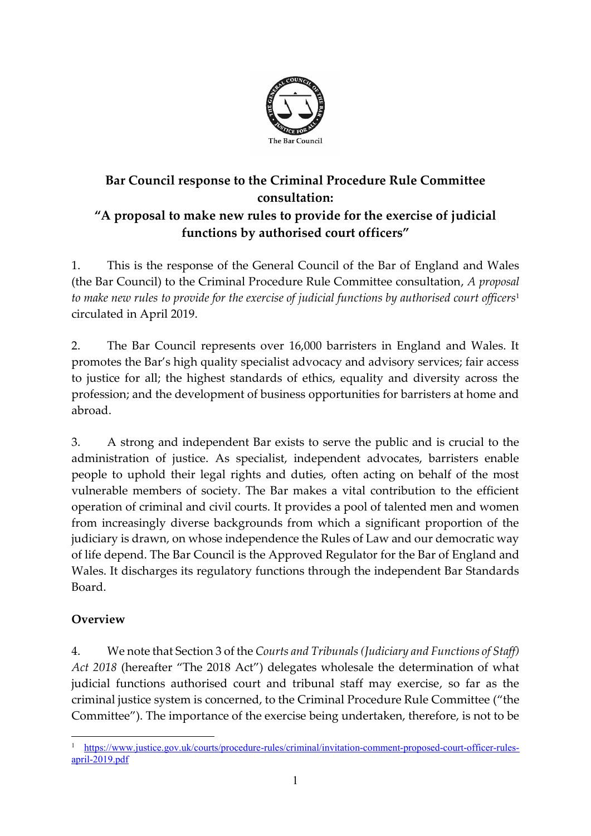

# **Bar Council response to the Criminal Procedure Rule Committee consultation: "A proposal to make new rules to provide for the exercise of judicial functions by authorised court officers"**

1. This is the response of the General Council of the Bar of England and Wales (the Bar Council) to the Criminal Procedure Rule Committee consultation, *A proposal to make new rules to provide for the exercise of judicial functions by authorised court officers*<sup>1</sup> circulated in April 2019.

2. The Bar Council represents over 16,000 barristers in England and Wales. It promotes the Bar's high quality specialist advocacy and advisory services; fair access to justice for all; the highest standards of ethics, equality and diversity across the profession; and the development of business opportunities for barristers at home and abroad.

3. A strong and independent Bar exists to serve the public and is crucial to the administration of justice. As specialist, independent advocates, barristers enable people to uphold their legal rights and duties, often acting on behalf of the most vulnerable members of society. The Bar makes a vital contribution to the efficient operation of criminal and civil courts. It provides a pool of talented men and women from increasingly diverse backgrounds from which a significant proportion of the judiciary is drawn, on whose independence the Rules of Law and our democratic way of life depend. The Bar Council is the Approved Regulator for the Bar of England and Wales. It discharges its regulatory functions through the independent Bar Standards Board.

# **Overview**

4. We note that Section 3 of the *Courts and Tribunals (Judiciary and Functions of Staff) Act 2018* (hereafter "The 2018 Act") delegates wholesale the determination of what judicial functions authorised court and tribunal staff may exercise, so far as the criminal justice system is concerned, to the Criminal Procedure Rule Committee ("the Committee"). The importance of the exercise being undertaken, therefore, is not to be

<sup>1</sup> [https://www.justice.gov.uk/courts/procedure-rules/criminal/invitation-comment-proposed-court-officer-rules](https://www.justice.gov.uk/courts/procedure-rules/criminal/invitation-comment-proposed-court-officer-rules-april-2019.pdf) $arīl-2019.pdf$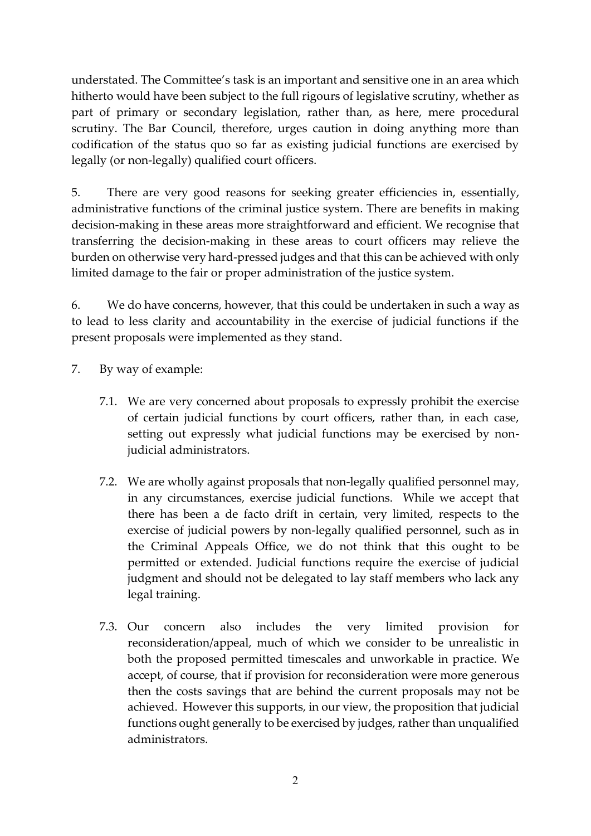understated. The Committee's task is an important and sensitive one in an area which hitherto would have been subject to the full rigours of legislative scrutiny, whether as part of primary or secondary legislation, rather than, as here, mere procedural scrutiny. The Bar Council, therefore, urges caution in doing anything more than codification of the status quo so far as existing judicial functions are exercised by legally (or non-legally) qualified court officers.

5. There are very good reasons for seeking greater efficiencies in, essentially, administrative functions of the criminal justice system. There are benefits in making decision-making in these areas more straightforward and efficient. We recognise that transferring the decision-making in these areas to court officers may relieve the burden on otherwise very hard-pressed judges and that this can be achieved with only limited damage to the fair or proper administration of the justice system.

6. We do have concerns, however, that this could be undertaken in such a way as to lead to less clarity and accountability in the exercise of judicial functions if the present proposals were implemented as they stand.

- 7. By way of example:
	- 7.1. We are very concerned about proposals to expressly prohibit the exercise of certain judicial functions by court officers, rather than, in each case, setting out expressly what judicial functions may be exercised by nonjudicial administrators.
	- 7.2. We are wholly against proposals that non-legally qualified personnel may, in any circumstances, exercise judicial functions. While we accept that there has been a de facto drift in certain, very limited, respects to the exercise of judicial powers by non-legally qualified personnel, such as in the Criminal Appeals Office, we do not think that this ought to be permitted or extended. Judicial functions require the exercise of judicial judgment and should not be delegated to lay staff members who lack any legal training.
	- 7.3. Our concern also includes the very limited provision for reconsideration/appeal, much of which we consider to be unrealistic in both the proposed permitted timescales and unworkable in practice. We accept, of course, that if provision for reconsideration were more generous then the costs savings that are behind the current proposals may not be achieved. However this supports, in our view, the proposition that judicial functions ought generally to be exercised by judges, rather than unqualified administrators.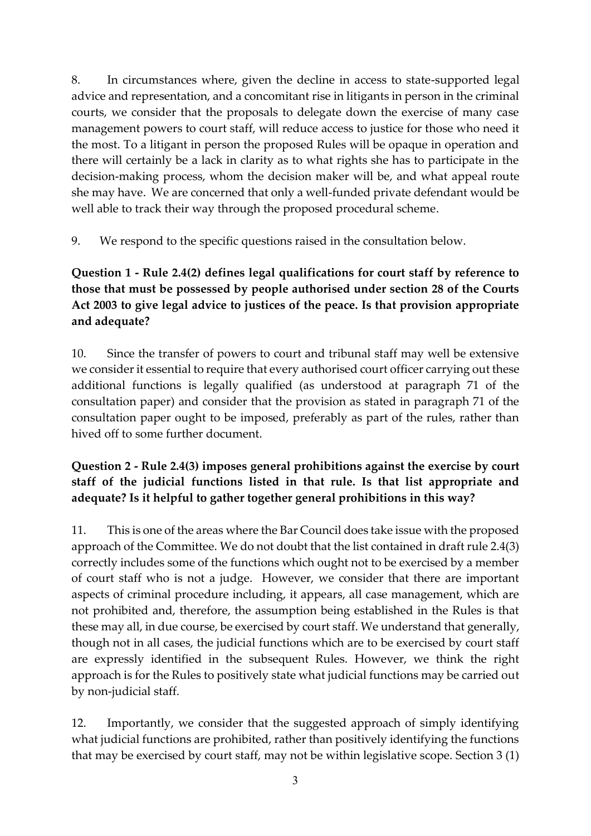8. In circumstances where, given the decline in access to state-supported legal advice and representation, and a concomitant rise in litigants in person in the criminal courts, we consider that the proposals to delegate down the exercise of many case management powers to court staff, will reduce access to justice for those who need it the most. To a litigant in person the proposed Rules will be opaque in operation and there will certainly be a lack in clarity as to what rights she has to participate in the decision-making process, whom the decision maker will be, and what appeal route she may have. We are concerned that only a well-funded private defendant would be well able to track their way through the proposed procedural scheme.

9. We respond to the specific questions raised in the consultation below.

# **Question 1 - Rule 2.4(2) defines legal qualifications for court staff by reference to those that must be possessed by people authorised under section 28 of the Courts Act 2003 to give legal advice to justices of the peace. Is that provision appropriate and adequate?**

10. Since the transfer of powers to court and tribunal staff may well be extensive we consider it essential to require that every authorised court officer carrying out these additional functions is legally qualified (as understood at paragraph 71 of the consultation paper) and consider that the provision as stated in paragraph 71 of the consultation paper ought to be imposed, preferably as part of the rules, rather than hived off to some further document.

# **Question 2 - Rule 2.4(3) imposes general prohibitions against the exercise by court staff of the judicial functions listed in that rule. Is that list appropriate and adequate? Is it helpful to gather together general prohibitions in this way?**

11. This is one of the areas where the Bar Council does take issue with the proposed approach of the Committee. We do not doubt that the list contained in draft rule 2.4(3) correctly includes some of the functions which ought not to be exercised by a member of court staff who is not a judge. However, we consider that there are important aspects of criminal procedure including, it appears, all case management, which are not prohibited and, therefore, the assumption being established in the Rules is that these may all, in due course, be exercised by court staff. We understand that generally, though not in all cases, the judicial functions which are to be exercised by court staff are expressly identified in the subsequent Rules. However, we think the right approach is for the Rules to positively state what judicial functions may be carried out by non-judicial staff.

12. Importantly, we consider that the suggested approach of simply identifying what judicial functions are prohibited, rather than positively identifying the functions that may be exercised by court staff, may not be within legislative scope. Section 3 (1)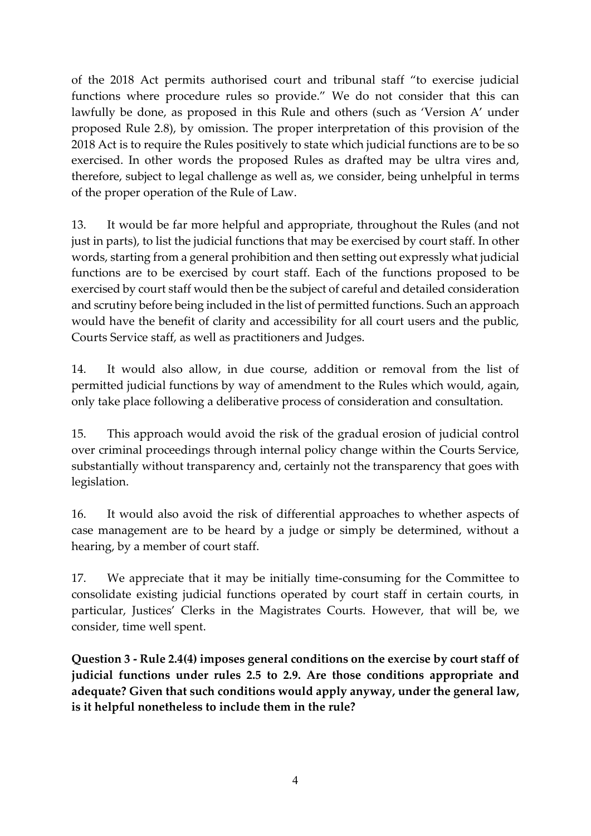of the 2018 Act permits authorised court and tribunal staff "to exercise judicial functions where procedure rules so provide." We do not consider that this can lawfully be done, as proposed in this Rule and others (such as 'Version A' under proposed Rule 2.8), by omission. The proper interpretation of this provision of the 2018 Act is to require the Rules positively to state which judicial functions are to be so exercised. In other words the proposed Rules as drafted may be ultra vires and, therefore, subject to legal challenge as well as, we consider, being unhelpful in terms of the proper operation of the Rule of Law.

13. It would be far more helpful and appropriate, throughout the Rules (and not just in parts), to list the judicial functions that may be exercised by court staff. In other words, starting from a general prohibition and then setting out expressly what judicial functions are to be exercised by court staff. Each of the functions proposed to be exercised by court staff would then be the subject of careful and detailed consideration and scrutiny before being included in the list of permitted functions. Such an approach would have the benefit of clarity and accessibility for all court users and the public, Courts Service staff, as well as practitioners and Judges.

14. It would also allow, in due course, addition or removal from the list of permitted judicial functions by way of amendment to the Rules which would, again, only take place following a deliberative process of consideration and consultation.

15. This approach would avoid the risk of the gradual erosion of judicial control over criminal proceedings through internal policy change within the Courts Service, substantially without transparency and, certainly not the transparency that goes with legislation.

16. It would also avoid the risk of differential approaches to whether aspects of case management are to be heard by a judge or simply be determined, without a hearing, by a member of court staff.

17. We appreciate that it may be initially time-consuming for the Committee to consolidate existing judicial functions operated by court staff in certain courts, in particular, Justices' Clerks in the Magistrates Courts. However, that will be, we consider, time well spent.

**Question 3 - Rule 2.4(4) imposes general conditions on the exercise by court staff of judicial functions under rules 2.5 to 2.9. Are those conditions appropriate and adequate? Given that such conditions would apply anyway, under the general law, is it helpful nonetheless to include them in the rule?**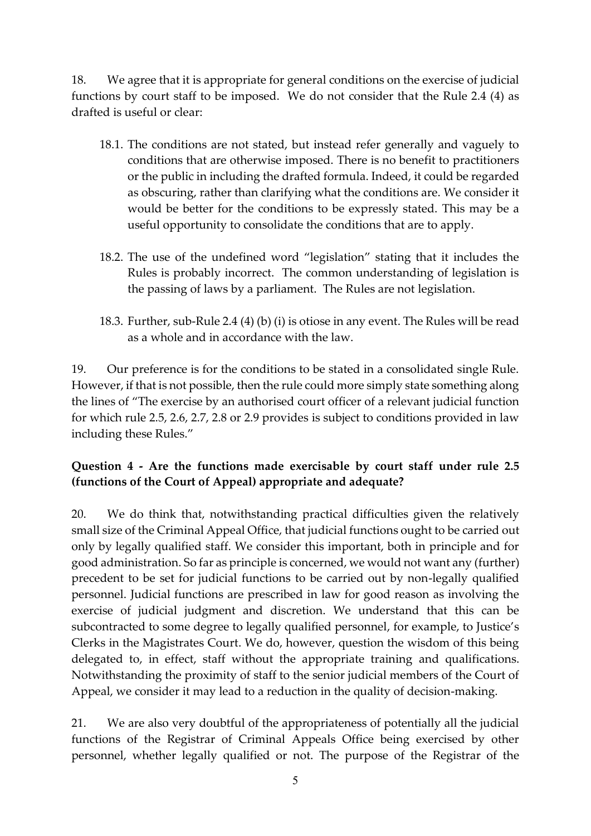18. We agree that it is appropriate for general conditions on the exercise of judicial functions by court staff to be imposed. We do not consider that the Rule 2.4 (4) as drafted is useful or clear:

- 18.1. The conditions are not stated, but instead refer generally and vaguely to conditions that are otherwise imposed. There is no benefit to practitioners or the public in including the drafted formula. Indeed, it could be regarded as obscuring, rather than clarifying what the conditions are. We consider it would be better for the conditions to be expressly stated. This may be a useful opportunity to consolidate the conditions that are to apply.
- 18.2. The use of the undefined word "legislation" stating that it includes the Rules is probably incorrect. The common understanding of legislation is the passing of laws by a parliament. The Rules are not legislation.
- 18.3. Further, sub-Rule 2.4 (4) (b) (i) is otiose in any event. The Rules will be read as a whole and in accordance with the law.

19. Our preference is for the conditions to be stated in a consolidated single Rule. However, if that is not possible, then the rule could more simply state something along the lines of "The exercise by an authorised court officer of a relevant judicial function for which rule 2.5, 2.6, 2.7, 2.8 or 2.9 provides is subject to conditions provided in law including these Rules."

# **Question 4 - Are the functions made exercisable by court staff under rule 2.5 (functions of the Court of Appeal) appropriate and adequate?**

20. We do think that, notwithstanding practical difficulties given the relatively small size of the Criminal Appeal Office, that judicial functions ought to be carried out only by legally qualified staff. We consider this important, both in principle and for good administration. So far as principle is concerned, we would not want any (further) precedent to be set for judicial functions to be carried out by non-legally qualified personnel. Judicial functions are prescribed in law for good reason as involving the exercise of judicial judgment and discretion. We understand that this can be subcontracted to some degree to legally qualified personnel, for example, to Justice's Clerks in the Magistrates Court. We do, however, question the wisdom of this being delegated to, in effect, staff without the appropriate training and qualifications. Notwithstanding the proximity of staff to the senior judicial members of the Court of Appeal, we consider it may lead to a reduction in the quality of decision-making.

21. We are also very doubtful of the appropriateness of potentially all the judicial functions of the Registrar of Criminal Appeals Office being exercised by other personnel, whether legally qualified or not. The purpose of the Registrar of the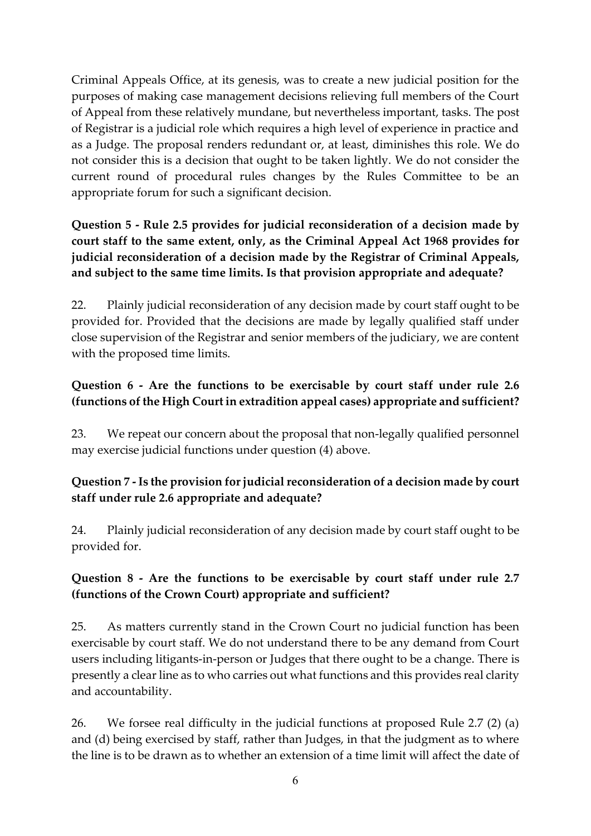Criminal Appeals Office, at its genesis, was to create a new judicial position for the purposes of making case management decisions relieving full members of the Court of Appeal from these relatively mundane, but nevertheless important, tasks. The post of Registrar is a judicial role which requires a high level of experience in practice and as a Judge. The proposal renders redundant or, at least, diminishes this role. We do not consider this is a decision that ought to be taken lightly. We do not consider the current round of procedural rules changes by the Rules Committee to be an appropriate forum for such a significant decision.

**Question 5 - Rule 2.5 provides for judicial reconsideration of a decision made by court staff to the same extent, only, as the Criminal Appeal Act 1968 provides for judicial reconsideration of a decision made by the Registrar of Criminal Appeals, and subject to the same time limits. Is that provision appropriate and adequate?**

22. Plainly judicial reconsideration of any decision made by court staff ought to be provided for. Provided that the decisions are made by legally qualified staff under close supervision of the Registrar and senior members of the judiciary, we are content with the proposed time limits.

# **Question 6 - Are the functions to be exercisable by court staff under rule 2.6 (functions of the High Court in extradition appeal cases) appropriate and sufficient?**

23. We repeat our concern about the proposal that non-legally qualified personnel may exercise judicial functions under question (4) above.

#### **Question 7 -Is the provision for judicial reconsideration of a decision made by court staff under rule 2.6 appropriate and adequate?**

24. Plainly judicial reconsideration of any decision made by court staff ought to be provided for.

# **Question 8 - Are the functions to be exercisable by court staff under rule 2.7 (functions of the Crown Court) appropriate and sufficient?**

25. As matters currently stand in the Crown Court no judicial function has been exercisable by court staff. We do not understand there to be any demand from Court users including litigants-in-person or Judges that there ought to be a change. There is presently a clear line as to who carries out what functions and this provides real clarity and accountability.

26. We forsee real difficulty in the judicial functions at proposed Rule 2.7 (2) (a) and (d) being exercised by staff, rather than Judges, in that the judgment as to where the line is to be drawn as to whether an extension of a time limit will affect the date of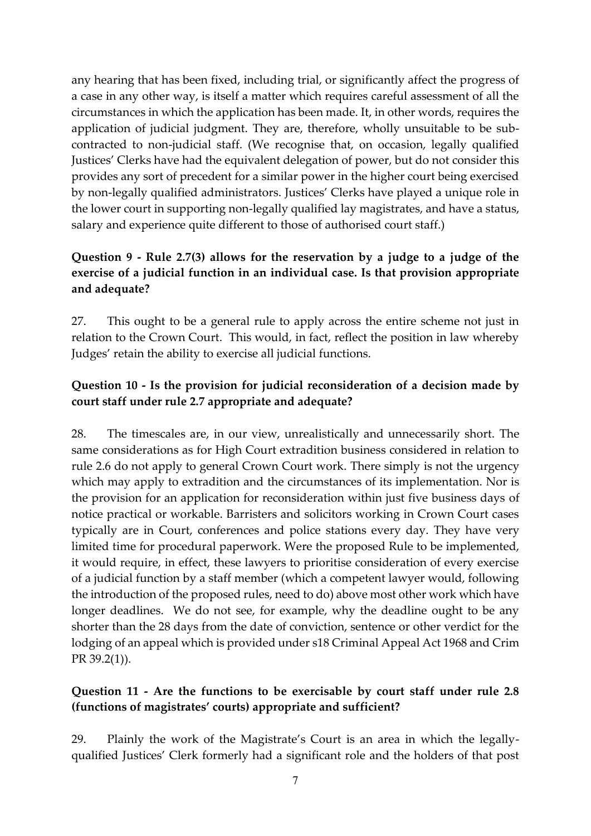any hearing that has been fixed, including trial, or significantly affect the progress of a case in any other way, is itself a matter which requires careful assessment of all the circumstances in which the application has been made. It, in other words, requires the application of judicial judgment. They are, therefore, wholly unsuitable to be subcontracted to non-judicial staff. (We recognise that, on occasion, legally qualified Justices' Clerks have had the equivalent delegation of power, but do not consider this provides any sort of precedent for a similar power in the higher court being exercised by non-legally qualified administrators. Justices' Clerks have played a unique role in the lower court in supporting non-legally qualified lay magistrates, and have a status, salary and experience quite different to those of authorised court staff.)

# **Question 9 - Rule 2.7(3) allows for the reservation by a judge to a judge of the exercise of a judicial function in an individual case. Is that provision appropriate and adequate?**

27. This ought to be a general rule to apply across the entire scheme not just in relation to the Crown Court. This would, in fact, reflect the position in law whereby Judges' retain the ability to exercise all judicial functions.

### **Question 10 - Is the provision for judicial reconsideration of a decision made by court staff under rule 2.7 appropriate and adequate?**

28. The timescales are, in our view, unrealistically and unnecessarily short. The same considerations as for High Court extradition business considered in relation to rule 2.6 do not apply to general Crown Court work. There simply is not the urgency which may apply to extradition and the circumstances of its implementation. Nor is the provision for an application for reconsideration within just five business days of notice practical or workable. Barristers and solicitors working in Crown Court cases typically are in Court, conferences and police stations every day. They have very limited time for procedural paperwork. Were the proposed Rule to be implemented, it would require, in effect, these lawyers to prioritise consideration of every exercise of a judicial function by a staff member (which a competent lawyer would, following the introduction of the proposed rules, need to do) above most other work which have longer deadlines. We do not see, for example, why the deadline ought to be any shorter than the 28 days from the date of conviction, sentence or other verdict for the lodging of an appeal which is provided under s18 Criminal Appeal Act 1968 and Crim PR 39.2(1)).

#### **Question 11 - Are the functions to be exercisable by court staff under rule 2.8 (functions of magistrates' courts) appropriate and sufficient?**

29. Plainly the work of the Magistrate's Court is an area in which the legallyqualified Justices' Clerk formerly had a significant role and the holders of that post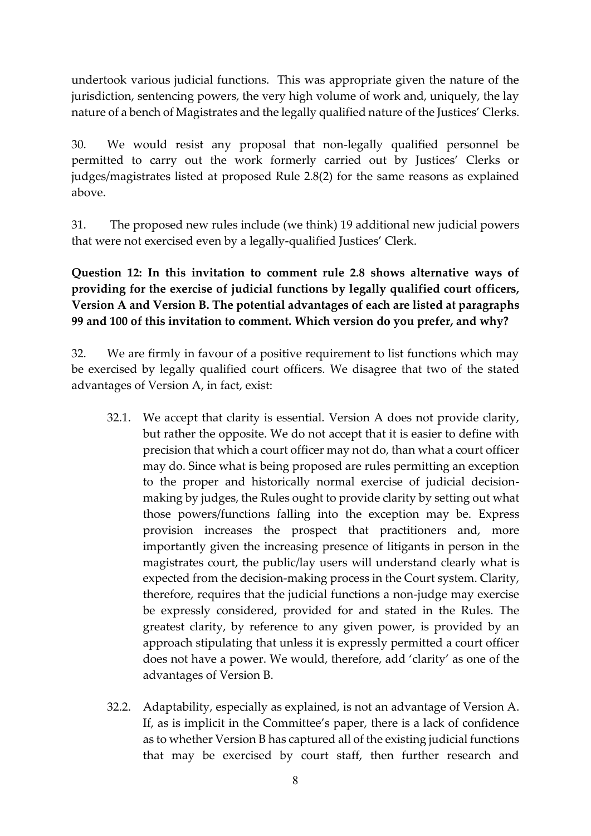undertook various judicial functions. This was appropriate given the nature of the jurisdiction, sentencing powers, the very high volume of work and, uniquely, the lay nature of a bench of Magistrates and the legally qualified nature of the Justices' Clerks.

30. We would resist any proposal that non-legally qualified personnel be permitted to carry out the work formerly carried out by Justices' Clerks or judges/magistrates listed at proposed Rule 2.8(2) for the same reasons as explained above.

31. The proposed new rules include (we think) 19 additional new judicial powers that were not exercised even by a legally-qualified Justices' Clerk.

**Question 12: In this invitation to comment rule 2.8 shows alternative ways of providing for the exercise of judicial functions by legally qualified court officers, Version A and Version B. The potential advantages of each are listed at paragraphs 99 and 100 of this invitation to comment. Which version do you prefer, and why?**

32. We are firmly in favour of a positive requirement to list functions which may be exercised by legally qualified court officers. We disagree that two of the stated advantages of Version A, in fact, exist:

- 32.1. We accept that clarity is essential. Version A does not provide clarity, but rather the opposite. We do not accept that it is easier to define with precision that which a court officer may not do, than what a court officer may do. Since what is being proposed are rules permitting an exception to the proper and historically normal exercise of judicial decisionmaking by judges, the Rules ought to provide clarity by setting out what those powers/functions falling into the exception may be. Express provision increases the prospect that practitioners and, more importantly given the increasing presence of litigants in person in the magistrates court, the public/lay users will understand clearly what is expected from the decision-making process in the Court system. Clarity, therefore, requires that the judicial functions a non-judge may exercise be expressly considered, provided for and stated in the Rules. The greatest clarity, by reference to any given power, is provided by an approach stipulating that unless it is expressly permitted a court officer does not have a power. We would, therefore, add 'clarity' as one of the advantages of Version B.
- 32.2. Adaptability, especially as explained, is not an advantage of Version A. If, as is implicit in the Committee's paper, there is a lack of confidence as to whether Version B has captured all of the existing judicial functions that may be exercised by court staff, then further research and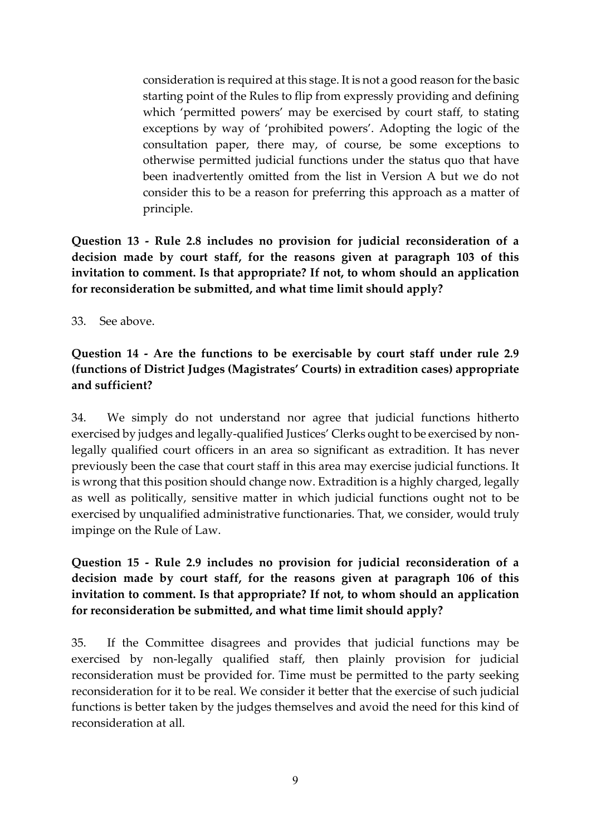consideration is required at this stage. It is not a good reason for the basic starting point of the Rules to flip from expressly providing and defining which 'permitted powers' may be exercised by court staff, to stating exceptions by way of 'prohibited powers'. Adopting the logic of the consultation paper, there may, of course, be some exceptions to otherwise permitted judicial functions under the status quo that have been inadvertently omitted from the list in Version A but we do not consider this to be a reason for preferring this approach as a matter of principle.

**Question 13 - Rule 2.8 includes no provision for judicial reconsideration of a decision made by court staff, for the reasons given at paragraph 103 of this invitation to comment. Is that appropriate? If not, to whom should an application for reconsideration be submitted, and what time limit should apply?**

33. See above.

#### **Question 14 - Are the functions to be exercisable by court staff under rule 2.9 (functions of District Judges (Magistrates' Courts) in extradition cases) appropriate and sufficient?**

34. We simply do not understand nor agree that judicial functions hitherto exercised by judges and legally-qualified Justices' Clerks ought to be exercised by nonlegally qualified court officers in an area so significant as extradition. It has never previously been the case that court staff in this area may exercise judicial functions. It is wrong that this position should change now. Extradition is a highly charged, legally as well as politically, sensitive matter in which judicial functions ought not to be exercised by unqualified administrative functionaries. That, we consider, would truly impinge on the Rule of Law.

### **Question 15 - Rule 2.9 includes no provision for judicial reconsideration of a decision made by court staff, for the reasons given at paragraph 106 of this invitation to comment. Is that appropriate? If not, to whom should an application for reconsideration be submitted, and what time limit should apply?**

35. If the Committee disagrees and provides that judicial functions may be exercised by non-legally qualified staff, then plainly provision for judicial reconsideration must be provided for. Time must be permitted to the party seeking reconsideration for it to be real. We consider it better that the exercise of such judicial functions is better taken by the judges themselves and avoid the need for this kind of reconsideration at all.